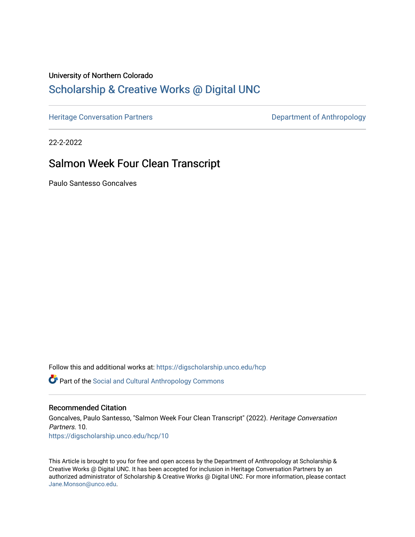# University of Northern Colorado

# [Scholarship & Creative Works @ Digital UNC](https://digscholarship.unco.edu/)

[Heritage Conversation Partners](https://digscholarship.unco.edu/hcp) **Department of Anthropology** 

22-2-2022

# Salmon Week Four Clean Transcript

Paulo Santesso Goncalves

Follow this and additional works at: [https://digscholarship.unco.edu/hcp](https://digscholarship.unco.edu/hcp?utm_source=digscholarship.unco.edu%2Fhcp%2F10&utm_medium=PDF&utm_campaign=PDFCoverPages) 

Part of the [Social and Cultural Anthropology Commons](http://network.bepress.com/hgg/discipline/323?utm_source=digscholarship.unco.edu%2Fhcp%2F10&utm_medium=PDF&utm_campaign=PDFCoverPages) 

#### Recommended Citation

Goncalves, Paulo Santesso, "Salmon Week Four Clean Transcript" (2022). Heritage Conversation Partners. 10. [https://digscholarship.unco.edu/hcp/10](https://digscholarship.unco.edu/hcp/10?utm_source=digscholarship.unco.edu%2Fhcp%2F10&utm_medium=PDF&utm_campaign=PDFCoverPages) 

This Article is brought to you for free and open access by the Department of Anthropology at Scholarship & Creative Works @ Digital UNC. It has been accepted for inclusion in Heritage Conversation Partners by an authorized administrator of Scholarship & Creative Works @ Digital UNC. For more information, please contact [Jane.Monson@unco.edu.](mailto:Jane.Monson@unco.edu)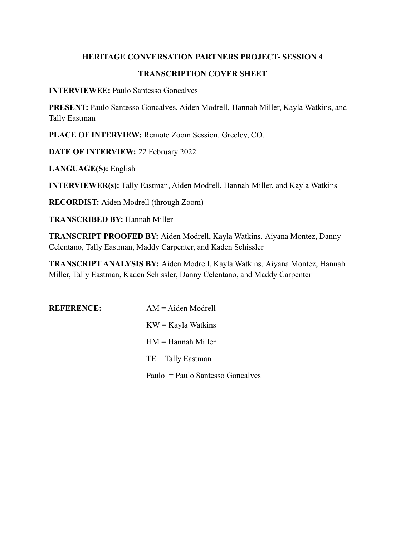## **HERITAGE CONVERSATION PARTNERS PROJECT- SESSION 4**

#### **TRANSCRIPTION COVER SHEET**

**INTERVIEWEE:** Paulo Santesso Goncalves

**PRESENT:** Paulo Santesso Goncalves, Aiden Modrell, Hannah Miller, Kayla Watkins, and Tally Eastman

**PLACE OF INTERVIEW:** Remote Zoom Session. Greeley, CO.

**DATE OF INTERVIEW:** 22 February 2022

**LANGUAGE(S):** English

**INTERVIEWER(s):** Tally Eastman, Aiden Modrell, Hannah Miller, and Kayla Watkins

**RECORDIST:** Aiden Modrell (through Zoom)

**TRANSCRIBED BY:** Hannah Miller

**TRANSCRIPT PROOFED BY:** Aiden Modrell, Kayla Watkins, Aiyana Montez, Danny Celentano, Tally Eastman, Maddy Carpenter, and Kaden Schissler

**TRANSCRIPT ANALYSIS BY:** Aiden Modrell, Kayla Watkins, Aiyana Montez, Hannah Miller, Tally Eastman, Kaden Schissler, Danny Celentano, and Maddy Carpenter

| <b>REFERENCE:</b> | $AM = A$ iden Modrell            |
|-------------------|----------------------------------|
|                   | $KW = Kayla Watkins$             |
|                   | $HM =$ Hannah Miller             |
|                   | $TE =$ Tally Eastman             |
|                   | Paulo = Paulo Santesso Goncalves |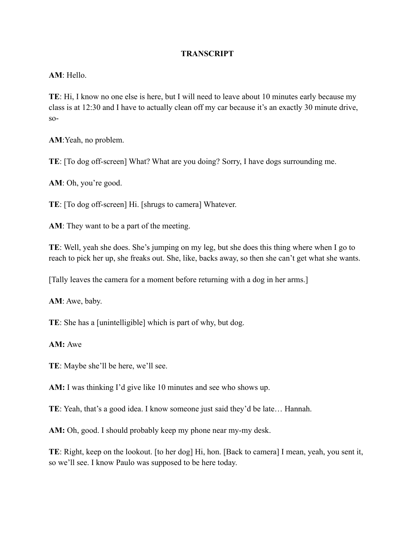## **TRANSCRIPT**

#### **AM**: Hello.

**TE**: Hi, I know no one else is here, but I will need to leave about 10 minutes early because my class is at 12:30 and I have to actually clean off my car because it's an exactly 30 minute drive, so-

**AM**:Yeah, no problem.

**TE**: [To dog off-screen] What? What are you doing? Sorry, I have dogs surrounding me.

**AM**: Oh, you're good.

**TE**: [To dog off-screen] Hi. [shrugs to camera] Whatever.

**AM**: They want to be a part of the meeting.

**TE**: Well, yeah she does. She's jumping on my leg, but she does this thing where when I go to reach to pick her up, she freaks out. She, like, backs away, so then she can't get what she wants.

[Tally leaves the camera for a moment before returning with a dog in her arms.]

**AM**: Awe, baby.

**TE**: She has a [unintelligible] which is part of why, but dog.

#### **AM:** Awe

**TE**: Maybe she'll be here, we'll see.

**AM:** I was thinking I'd give like 10 minutes and see who shows up.

**TE**: Yeah, that's a good idea. I know someone just said they'd be late… Hannah.

**AM:** Oh, good. I should probably keep my phone near my-my desk.

**TE**: Right, keep on the lookout. [to her dog] Hi, hon. [Back to camera] I mean, yeah, you sent it, so we'll see. I know Paulo was supposed to be here today.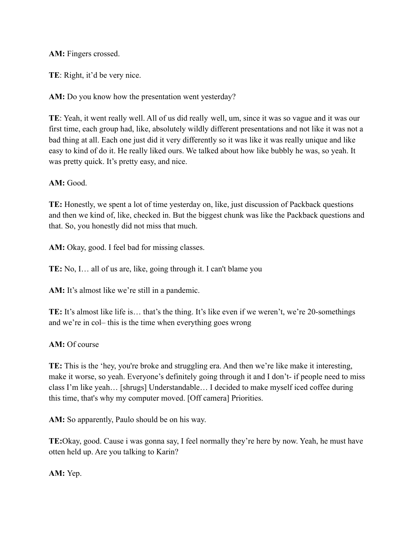**AM:** Fingers crossed.

**TE**: Right, it'd be very nice.

**AM:** Do you know how the presentation went yesterday?

**TE**: Yeah, it went really well. All of us did really well, um, since it was so vague and it was our first time, each group had, like, absolutely wildly different presentations and not like it was not a bad thing at all. Each one just did it very differently so it was like it was really unique and like easy to kind of do it. He really liked ours. We talked about how like bubbly he was, so yeah. It was pretty quick. It's pretty easy, and nice.

# **AM:** Good.

**TE:** Honestly, we spent a lot of time yesterday on, like, just discussion of Packback questions and then we kind of, like, checked in. But the biggest chunk was like the Packback questions and that. So, you honestly did not miss that much.

**AM:** Okay, good. I feel bad for missing classes.

**TE:** No, I… all of us are, like, going through it. I can't blame you

AM: It's almost like we're still in a pandemic.

**TE:** It's almost like life is… that's the thing. It's like even if we weren't, we're 20-somethings and we're in col– this is the time when everything goes wrong

**AM:** Of course

**TE:** This is the 'hey, you're broke and struggling era. And then we're like make it interesting, make it worse, so yeah. Everyone's definitely going through it and I don't- if people need to miss class I'm like yeah… [shrugs] Understandable… I decided to make myself iced coffee during this time, that's why my computer moved. [Off camera] Priorities.

**AM:** So apparently, Paulo should be on his way.

**TE:**Okay, good. Cause i was gonna say, I feel normally they're here by now. Yeah, he must have otten held up. Are you talking to Karin?

**AM:** Yep.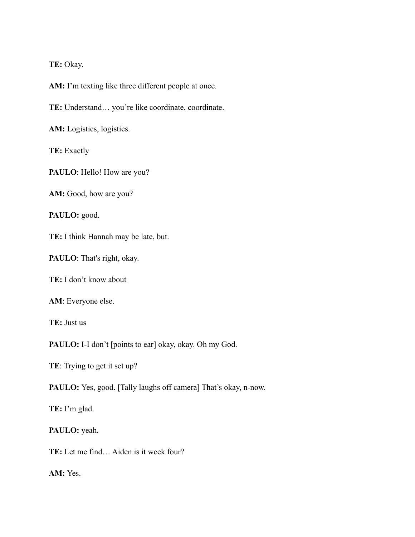## **TE:** Okay.

**AM:** I'm texting like three different people at once.

**TE:** Understand… you're like coordinate, coordinate.

**AM:** Logistics, logistics.

**TE:** Exactly

PAULO: Hello! How are you?

**AM:** Good, how are you?

**PAULO:** good.

**TE:** I think Hannah may be late, but.

**PAULO**: That's right, okay.

**TE:** I don't know about

**AM**: Everyone else.

**TE:** Just us

PAULO: I-I don't [points to ear] okay, okay. Oh my God.

**TE**: Trying to get it set up?

PAULO: Yes, good. [Tally laughs off camera] That's okay, n-now.

**TE:** I'm glad.

### **PAULO:** yeah.

**TE:** Let me find… Aiden is it week four?

**AM:** Yes.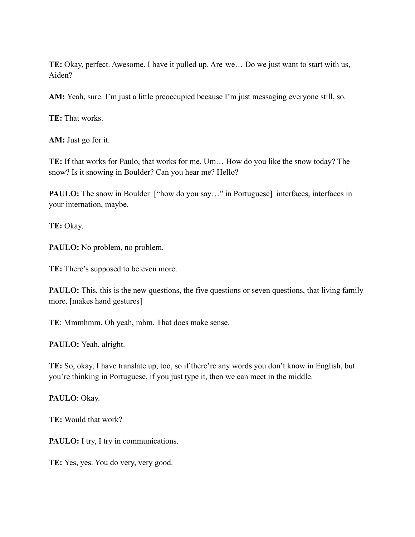**TE:** Okay, perfect. Awesome. I have it pulled up. Are we… Do we just want to start with us, Aiden?

**AM:** Yeah, sure. I'm just a little preoccupied because I'm just messaging everyone still, so.

**TE:** That works.

**AM:** Just go for it.

**TE:** If that works for Paulo, that works for me. Um… How do you like the snow today? The snow? Is it snowing in Boulder? Can you hear me? Hello?

**PAULO:** The snow in Boulder ["how do you say..." in Portuguese] interfaces, interfaces in your internation, maybe.

**TE:** Okay.

**PAULO:** No problem, no problem.

**TE:** There's supposed to be even more.

**PAULO:** This, this is the new questions, the five questions or seven questions, that living family more. [makes hand gestures]

**TE**: Mmmhmm. Oh yeah, mhm. That does make sense.

**PAULO:** Yeah, alright.

**TE:** So, okay, I have translate up, too, so if there're any words you don't know in English, but you're thinking in Portuguese, if you just type it, then we can meet in the middle.

**PAULO**: Okay.

**TE:** Would that work?

**PAULO:** I try, I try in communications.

**TE:** Yes, yes. You do very, very good.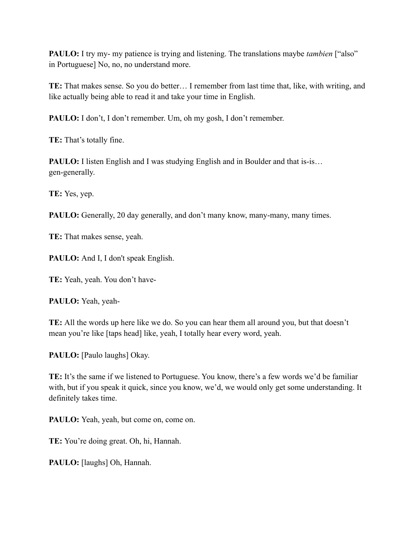**PAULO:** I try my- my patience is trying and listening. The translations maybe *tambien* ["also" in Portuguese] No, no, no understand more.

**TE:** That makes sense. So you do better… I remember from last time that, like, with writing, and like actually being able to read it and take your time in English.

**PAULO:** I don't, I don't remember. Um, oh my gosh, I don't remember.

**TE:** That's totally fine.

**PAULO:** I listen English and I was studying English and in Boulder and that is-is… gen-generally.

**TE:** Yes, yep.

**PAULO:** Generally, 20 day generally, and don't many know, many-many, many times.

**TE:** That makes sense, yeah.

**PAULO:** And I, I don't speak English.

**TE:** Yeah, yeah. You don't have-

**PAULO:** Yeah, yeah-

**TE:** All the words up here like we do. So you can hear them all around you, but that doesn't mean you're like [taps head] like, yeah, I totally hear every word, yeah.

**PAULO:** [Paulo laughs] Okay.

**TE:** It's the same if we listened to Portuguese. You know, there's a few words we'd be familiar with, but if you speak it quick, since you know, we'd, we would only get some understanding. It definitely takes time.

PAULO: Yeah, yeah, but come on, come on.

**TE:** You're doing great. Oh, hi, Hannah.

**PAULO:** [laughs] Oh, Hannah.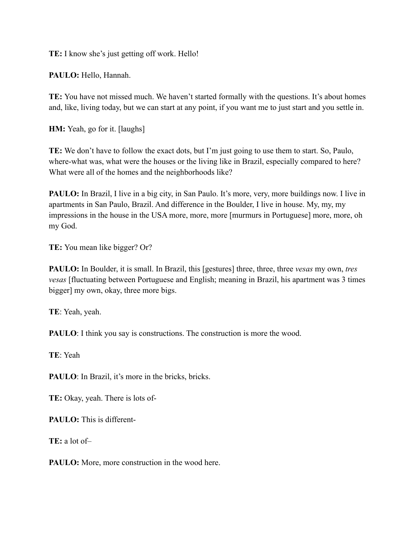**TE:** I know she's just getting off work. Hello!

**PAULO:** Hello, Hannah.

**TE:** You have not missed much. We haven't started formally with the questions. It's about homes and, like, living today, but we can start at any point, if you want me to just start and you settle in.

**HM:** Yeah, go for it. [laughs]

**TE:** We don't have to follow the exact dots, but I'm just going to use them to start. So, Paulo, where-what was, what were the houses or the living like in Brazil, especially compared to here? What were all of the homes and the neighborhoods like?

**PAULO:** In Brazil, I live in a big city, in San Paulo. It's more, very, more buildings now. I live in apartments in San Paulo, Brazil. And difference in the Boulder, I live in house. My, my, my impressions in the house in the USA more, more, more [murmurs in Portuguese] more, more, oh my God.

**TE:** You mean like bigger? Or?

**PAULO:** In Boulder, it is small. In Brazil, this [gestures] three, three, three *vesas* my own, *tres vesas* [fluctuating between Portuguese and English; meaning in Brazil, his apartment was 3 times bigger] my own, okay, three more bigs.

**TE**: Yeah, yeah.

**PAULO**: I think you say is constructions. The construction is more the wood.

**TE**: Yeah

PAULO: In Brazil, it's more in the bricks, bricks.

**TE:** Okay, yeah. There is lots of-

**PAULO:** This is different-

**TE:** a lot of–

**PAULO:** More, more construction in the wood here.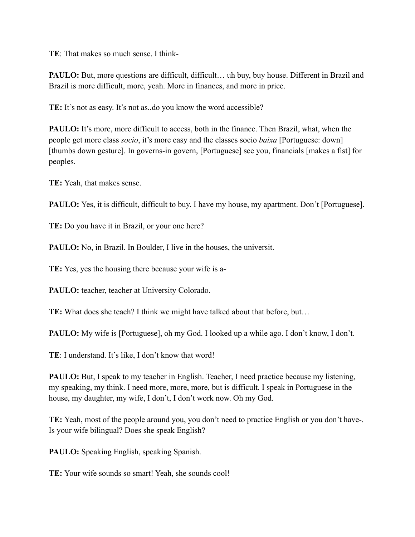**TE**: That makes so much sense. I think-

**PAULO:** But, more questions are difficult, difficult... uh buy, buy house. Different in Brazil and Brazil is more difficult, more, yeah. More in finances, and more in price.

**TE:** It's not as easy. It's not as..do you know the word accessible?

**PAULO:** It's more, more difficult to access, both in the finance. Then Brazil, what, when the people get more class *socio*, it's more easy and the classes socio *baixa* [Portuguese: down] [thumbs down gesture]. In governs-in govern, [Portuguese] see you, financials [makes a fist] for peoples.

**TE:** Yeah, that makes sense.

**PAULO:** Yes, it is difficult, difficult to buy. I have my house, my apartment. Don't [Portuguese].

**TE:** Do you have it in Brazil, or your one here?

**PAULO:** No, in Brazil. In Boulder, I live in the houses, the universit.

**TE:** Yes, yes the housing there because your wife is a-

**PAULO:** teacher, teacher at University Colorado.

**TE:** What does she teach? I think we might have talked about that before, but…

**PAULO:** My wife is [Portuguese], oh my God. I looked up a while ago. I don't know, I don't.

**TE**: I understand. It's like, I don't know that word!

**PAULO:** But, I speak to my teacher in English. Teacher, I need practice because my listening, my speaking, my think. I need more, more, more, but is difficult. I speak in Portuguese in the house, my daughter, my wife, I don't, I don't work now. Oh my God.

**TE:** Yeah, most of the people around you, you don't need to practice English or you don't have-. Is your wife bilingual? Does she speak English?

**PAULO:** Speaking English, speaking Spanish.

**TE:** Your wife sounds so smart! Yeah, she sounds cool!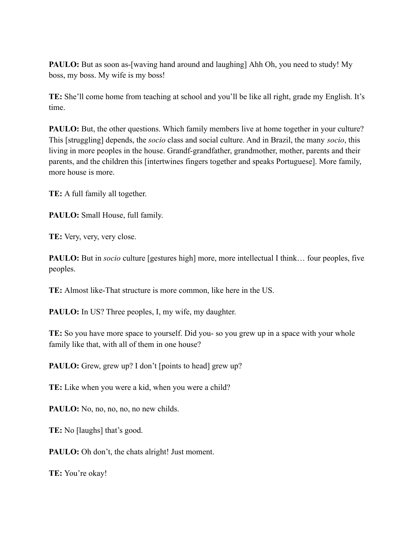**PAULO:** But as soon as-[waving hand around and laughing] Ahh Oh, you need to study! My boss, my boss. My wife is my boss!

**TE:** She'll come home from teaching at school and you'll be like all right, grade my English. It's time.

**PAULO:** But, the other questions. Which family members live at home together in your culture? This [struggling] depends, the *socio* class and social culture. And in Brazil, the many *socio*, this living in more peoples in the house. Grandf-grandfather, grandmother, mother, parents and their parents, and the children this [intertwines fingers together and speaks Portuguese]. More family, more house is more.

**TE:** A full family all together.

**PAULO:** Small House, full family.

**TE:** Very, very, very close.

**PAULO:** But in *socio* culture [gestures high] more, more intellectual I think... four peoples, five peoples.

**TE:** Almost like-That structure is more common, like here in the US.

**PAULO:** In US? Three peoples, I, my wife, my daughter.

**TE:** So you have more space to yourself. Did you- so you grew up in a space with your whole family like that, with all of them in one house?

**PAULO:** Grew, grew up? I don't [points to head] grew up?

**TE:** Like when you were a kid, when you were a child?

**PAULO:** No, no, no, no, no new childs.

**TE:** No [laughs] that's good.

**PAULO:** Oh don't, the chats alright! Just moment.

**TE:** You're okay!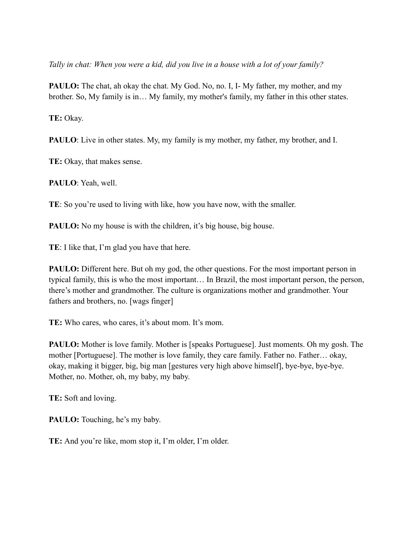*Tally in chat: When you were a kid, did you live in a house with a lot of your family?*

**PAULO:** The chat, ah okay the chat. My God. No, no. I, I- My father, my mother, and my brother. So, My family is in… My family, my mother's family, my father in this other states.

**TE:** Okay.

**PAULO**: Live in other states. My, my family is my mother, my father, my brother, and I.

**TE:** Okay, that makes sense.

**PAULO**: Yeah, well.

**TE**: So you're used to living with like, how you have now, with the smaller.

**PAULO:** No my house is with the children, it's big house, big house.

**TE**: I like that, I'm glad you have that here.

**PAULO:** Different here. But oh my god, the other questions. For the most important person in typical family, this is who the most important… In Brazil, the most important person, the person, there's mother and grandmother. The culture is organizations mother and grandmother. Your fathers and brothers, no. [wags finger]

**TE:** Who cares, who cares, it's about mom. It's mom.

**PAULO:** Mother is love family. Mother is [speaks Portuguese]. Just moments. Oh my gosh. The mother [Portuguese]. The mother is love family, they care family. Father no. Father… okay, okay, making it bigger, big, big man [gestures very high above himself], bye-bye, bye-bye. Mother, no. Mother, oh, my baby, my baby.

**TE:** Soft and loving.

**PAULO:** Touching, he's my baby.

**TE:** And you're like, mom stop it, I'm older, I'm older.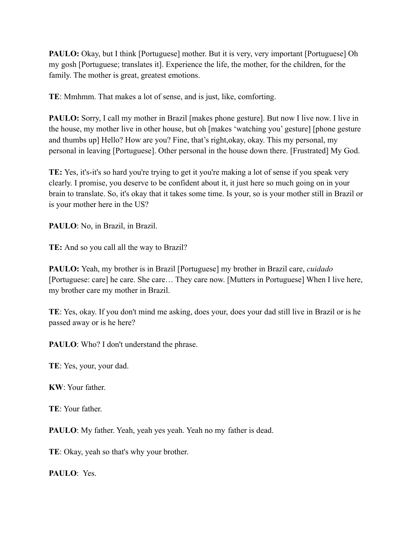**PAULO:** Okay, but I think [Portuguese] mother. But it is very, very important [Portuguese] Oh my gosh [Portuguese; translates it]. Experience the life, the mother, for the children, for the family. The mother is great, greatest emotions.

**TE**: Mmhmm. That makes a lot of sense, and is just, like, comforting.

**PAULO:** Sorry, I call my mother in Brazil [makes phone gesture]. But now I live now. I live in the house, my mother live in other house, but oh [makes 'watching you' gesture] [phone gesture and thumbs up] Hello? How are you? Fine, that's right,okay, okay. This my personal, my personal in leaving [Portuguese]. Other personal in the house down there. [Frustrated] My God.

**TE:** Yes, it's-it's so hard you're trying to get it you're making a lot of sense if you speak very clearly. I promise, you deserve to be confident about it, it just here so much going on in your brain to translate. So, it's okay that it takes some time. Is your, so is your mother still in Brazil or is your mother here in the US?

**PAULO**: No, in Brazil, in Brazil.

**TE:** And so you call all the way to Brazil?

**PAULO:** Yeah, my brother is in Brazil [Portuguese] my brother in Brazil care, *cuidado* [Portuguese: care] he care. She care… They care now. [Mutters in Portuguese] When I live here, my brother care my mother in Brazil.

**TE**: Yes, okay. If you don't mind me asking, does your, does your dad still live in Brazil or is he passed away or is he here?

**PAULO**: Who? I don't understand the phrase.

**TE**: Yes, your, your dad.

**KW**: Your father.

**TE**: Your father.

PAULO: My father. Yeah, yeah yes yeah. Yeah no my father is dead.

**TE**: Okay, yeah so that's why your brother.

**PAULO**: Yes.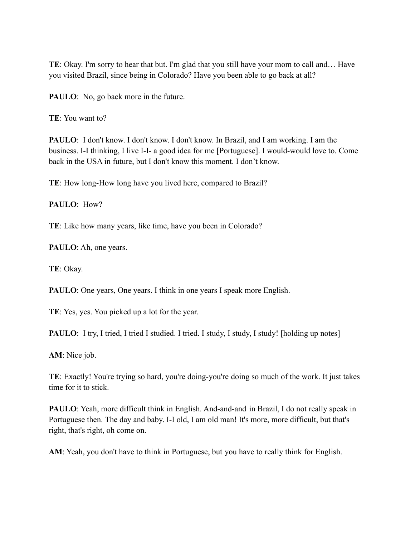**TE**: Okay. I'm sorry to hear that but. I'm glad that you still have your mom to call and… Have you visited Brazil, since being in Colorado? Have you been able to go back at all?

**PAULO**: No, go back more in the future.

**TE**: You want to?

**PAULO**: I don't know. I don't know. I don't know. In Brazil, and I am working. I am the business. I-I thinking, I live I-I- a good idea for me [Portuguese]. I would-would love to. Come back in the USA in future, but I don't know this moment. I don't know.

**TE**: How long-How long have you lived here, compared to Brazil?

**PAULO**: How?

**TE**: Like how many years, like time, have you been in Colorado?

**PAULO**: Ah, one years.

**TE**: Okay.

**PAULO**: One years, One years. I think in one years I speak more English.

**TE**: Yes, yes. You picked up a lot for the year.

**PAULO**: I try, I tried, I tried I studied. I tried. I study, I study, I study! [holding up notes]

**AM**: Nice job.

**TE**: Exactly! You're trying so hard, you're doing-you're doing so much of the work. It just takes time for it to stick.

**PAULO**: Yeah, more difficult think in English. And-and-and in Brazil, I do not really speak in Portuguese then. The day and baby. I-I old, I am old man! It's more, more difficult, but that's right, that's right, oh come on.

**AM**: Yeah, you don't have to think in Portuguese, but you have to really think for English.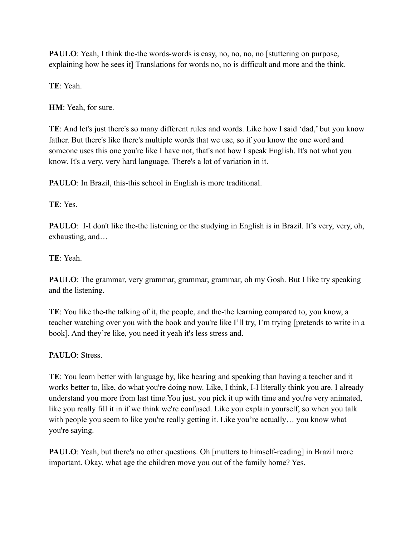**PAULO**: Yeah, I think the-the words-words is easy, no, no, no, no [stuttering on purpose, explaining how he sees it] Translations for words no, no is difficult and more and the think.

**TE**: Yeah.

**HM**: Yeah, for sure.

**TE**: And let's just there's so many different rules and words. Like how I said 'dad,' but you know father. But there's like there's multiple words that we use, so if you know the one word and someone uses this one you're like I have not, that's not how I speak English. It's not what you know. It's a very, very hard language. There's a lot of variation in it.

**PAULO**: In Brazil, this-this school in English is more traditional.

**TE**: Yes.

**PAULO**: I-I don't like the-the listening or the studying in English is in Brazil. It's very, very, oh, exhausting, and…

**TE**: Yeah.

**PAULO**: The grammar, very grammar, grammar, grammar, oh my Gosh. But I like try speaking and the listening.

**TE**: You like the-the talking of it, the people, and the-the learning compared to, you know, a teacher watching over you with the book and you're like I'll try, I'm trying [pretends to write in a book]. And they're like, you need it yeah it's less stress and.

**PAULO**: Stress.

**TE**: You learn better with language by, like hearing and speaking than having a teacher and it works better to, like, do what you're doing now. Like, I think, I-I literally think you are. I already understand you more from last time.You just, you pick it up with time and you're very animated, like you really fill it in if we think we're confused. Like you explain yourself, so when you talk with people you seem to like you're really getting it. Like you're actually... you know what you're saying.

**PAULO**: Yeah, but there's no other questions. Oh [mutters to himself-reading] in Brazil more important. Okay, what age the children move you out of the family home? Yes.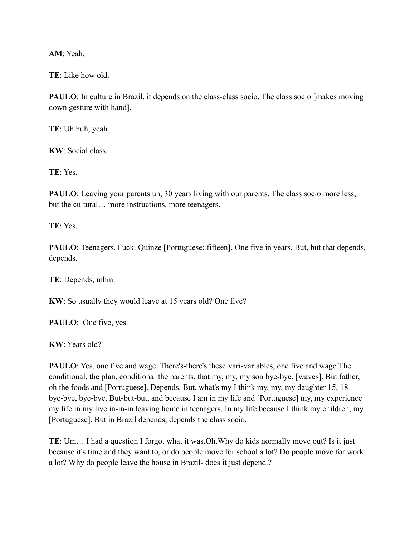**AM**: Yeah.

**TE**: Like how old.

**PAULO**: In culture in Brazil, it depends on the class-class socio. The class socio [makes moving down gesture with hand].

**TE**: Uh huh, yeah

**KW**: Social class.

**TE**: Yes.

**PAULO**: Leaving your parents uh, 30 years living with our parents. The class socio more less, but the cultural… more instructions, more teenagers.

**TE**: Yes.

**PAULO**: Teenagers. Fuck. Quinze [Portuguese: fifteen]. One five in years. But, but that depends, depends.

**TE**: Depends, mhm.

**KW**: So usually they would leave at 15 years old? One five?

**PAULO**: One five, yes.

**KW**: Years old?

**PAULO**: Yes, one five and wage. There's-there's these vari-variables, one five and wage. The conditional, the plan, conditional the parents, that my, my, my son bye-bye. [waves]. But father, oh the foods and [Portuguese]. Depends. But, what's my I think my, my, my daughter 15, 18 bye-bye, bye-bye. But-but-but, and because I am in my life and [Portuguese] my, my experience my life in my live in-in-in leaving home in teenagers. In my life because I think my children, my [Portuguese]. But in Brazil depends, depends the class socio.

**TE**: Um… I had a question I forgot what it was.Oh.Why do kids normally move out? Is it just because it's time and they want to, or do people move for school a lot? Do people move for work a lot? Why do people leave the house in Brazil- does it just depend.?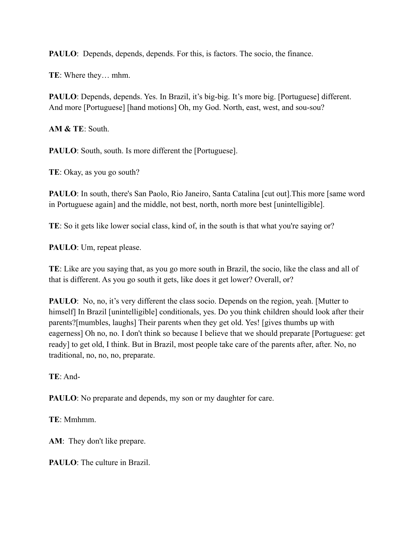**PAULO**: Depends, depends, depends. For this, is factors. The socio, the finance.

**TE**: Where they… mhm.

**PAULO**: Depends, depends. Yes. In Brazil, it's big-big. It's more big. [Portuguese] different. And more [Portuguese] [hand motions] Oh, my God. North, east, west, and sou-sou?

**AM & TE**: South.

**PAULO**: South, south. Is more different the [Portuguese].

**TE**: Okay, as you go south?

**PAULO**: In south, there's San Paolo, Rio Janeiro, Santa Catalina [cut out]. This more [same word in Portuguese again] and the middle, not best, north, north more best [unintelligible].

**TE**: So it gets like lower social class, kind of, in the south is that what you're saying or?

**PAULO**: Um, repeat please.

**TE**: Like are you saying that, as you go more south in Brazil, the socio, like the class and all of that is different. As you go south it gets, like does it get lower? Overall, or?

**PAULO**: No, no, it's very different the class socio. Depends on the region, yeah. [Mutter to himself] In Brazil [unintelligible] conditionals, yes. Do you think children should look after their parents?[mumbles, laughs] Their parents when they get old. Yes! [gives thumbs up with eagerness] Oh no, no. I don't think so because I believe that we should preparate [Portuguese: get ready] to get old, I think. But in Brazil, most people take care of the parents after, after. No, no traditional, no, no, no, preparate.

**TE**: And-

**PAULO**: No preparate and depends, my son or my daughter for care.

**TE**: Mmhmm.

**AM**: They don't like prepare.

**PAULO**: The culture in Brazil.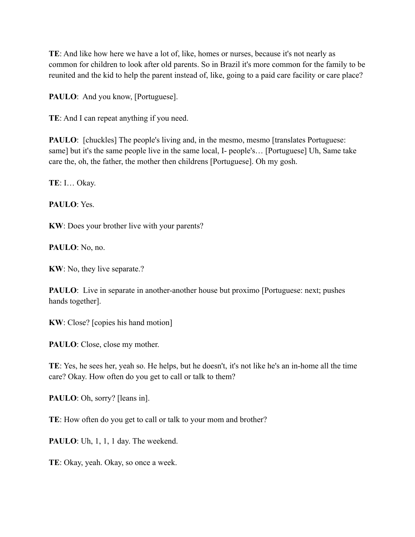**TE**: And like how here we have a lot of, like, homes or nurses, because it's not nearly as common for children to look after old parents. So in Brazil it's more common for the family to be reunited and the kid to help the parent instead of, like, going to a paid care facility or care place?

PAULO: And you know, [Portuguese].

**TE**: And I can repeat anything if you need.

**PAULO**: [chuckles] The people's living and, in the mesmo, mesmo [translates Portuguese: same] but it's the same people live in the same local, I- people's… [Portuguese] Uh, Same take care the, oh, the father, the mother then childrens [Portuguese]. Oh my gosh.

**TE**: I… Okay.

**PAULO**: Yes.

**KW**: Does your brother live with your parents?

**PAULO**: No, no.

**KW**: No, they live separate.?

**PAULO**: Live in separate in another-another house but proximo [Portuguese: next; pushes hands together].

**KW**: Close? [copies his hand motion]

PAULO: Close, close my mother.

**TE**: Yes, he sees her, yeah so. He helps, but he doesn't, it's not like he's an in-home all the time care? Okay. How often do you get to call or talk to them?

**PAULO**: Oh, sorry? [leans in].

**TE**: How often do you get to call or talk to your mom and brother?

PAULO: Uh, 1, 1, 1 day. The weekend.

**TE**: Okay, yeah. Okay, so once a week.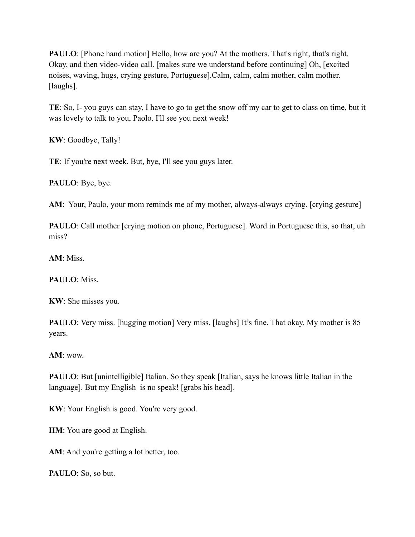**PAULO**: [Phone hand motion] Hello, how are you? At the mothers. That's right, that's right. Okay, and then video-video call. [makes sure we understand before continuing] Oh, [excited noises, waving, hugs, crying gesture, Portuguese].Calm, calm, calm mother, calm mother. [laughs].

**TE**: So, I- you guys can stay, I have to go to get the snow off my car to get to class on time, but it was lovely to talk to you, Paolo. I'll see you next week!

**KW**: Goodbye, Tally!

**TE**: If you're next week. But, bye, I'll see you guys later.

**PAULO**: Bye, bye.

**AM**: Your, Paulo, your mom reminds me of my mother, always-always crying. [crying gesture]

**PAULO**: Call mother [crying motion on phone, Portuguese]. Word in Portuguese this, so that, uh miss?

**AM**: Miss.

**PAULO**: Miss.

**KW**: She misses you.

**PAULO**: Very miss. [hugging motion] Very miss. [laughs] It's fine. That okay. My mother is 85 years.

**AM**: wow.

**PAULO**: But [unintelligible] Italian. So they speak [Italian, says he knows little Italian in the language]. But my English is no speak! [grabs his head].

**KW**: Your English is good. You're very good.

**HM**: You are good at English.

AM: And you're getting a lot better, too.

**PAULO**: So, so but.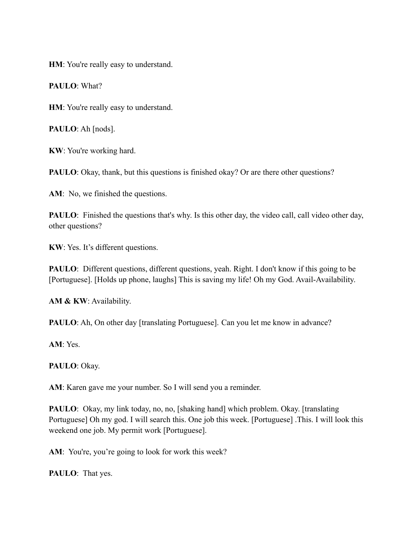**HM**: You're really easy to understand.

**PAULO**: What?

**HM**: You're really easy to understand.

**PAULO**: Ah [nods].

**KW**: You're working hard.

**PAULO**: Okay, thank, but this questions is finished okay? Or are there other questions?

AM: No, we finished the questions.

**PAULO**: Finished the questions that's why. Is this other day, the video call, call video other day, other questions?

**KW**: Yes. It's different questions.

**PAULO**: Different questions, different questions, yeah. Right. I don't know if this going to be [Portuguese]. [Holds up phone, laughs] This is saving my life! Oh my God. Avail-Availability.

**AM & KW**: Availability.

**PAULO**: Ah, On other day [translating Portuguese]. Can you let me know in advance?

**AM**: Yes.

**PAULO**: Okay.

**AM**: Karen gave me your number. So I will send you a reminder.

**PAULO**: Okay, my link today, no, no, [shaking hand] which problem. Okay. [translating Portuguese] Oh my god. I will search this. One job this week. [Portuguese] .This. I will look this weekend one job. My permit work [Portuguese].

AM: You're, you're going to look for work this week?

**PAULO**: That yes.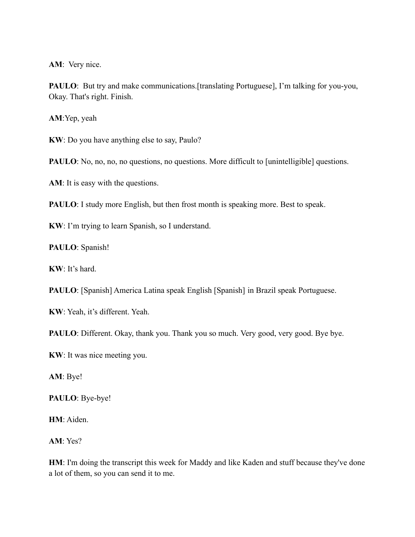**AM**: Very nice.

**PAULO**: But try and make communications. [translating Portuguese], I'm talking for you-you, Okay. That's right. Finish.

**AM**:Yep, yeah

**KW**: Do you have anything else to say, Paulo?

**PAULO**: No, no, no, no questions, no questions. More difficult to [unintelligible] questions.

**AM**: It is easy with the questions.

**PAULO**: I study more English, but then frost month is speaking more. Best to speak.

**KW**: I'm trying to learn Spanish, so I understand.

**PAULO**: Spanish!

**KW**: It's hard.

**PAULO**: [Spanish] America Latina speak English [Spanish] in Brazil speak Portuguese.

**KW**: Yeah, it's different. Yeah.

PAULO: Different. Okay, thank you. Thank you so much. Very good, very good. Bye bye.

**KW**: It was nice meeting you.

**AM**: Bye!

**PAULO**: Bye-bye!

**HM**: Aiden.

**AM**: Yes?

**HM**: I'm doing the transcript this week for Maddy and like Kaden and stuff because they've done a lot of them, so you can send it to me.